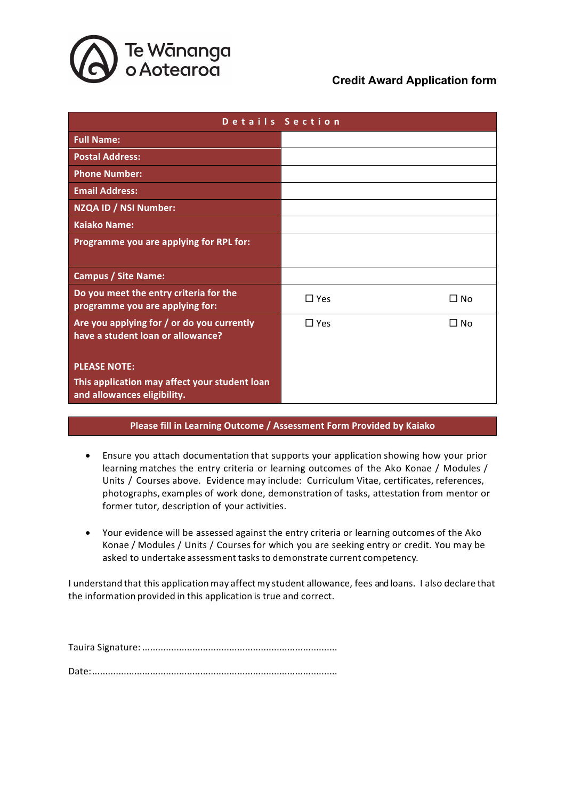

| Details Section                                                                 |            |           |  |
|---------------------------------------------------------------------------------|------------|-----------|--|
| <b>Full Name:</b>                                                               |            |           |  |
| <b>Postal Address:</b>                                                          |            |           |  |
| <b>Phone Number:</b>                                                            |            |           |  |
| <b>Email Address:</b>                                                           |            |           |  |
| NZQA ID / NSI Number:                                                           |            |           |  |
| <b>Kaiako Name:</b>                                                             |            |           |  |
| Programme you are applying for RPL for:                                         |            |           |  |
|                                                                                 |            |           |  |
| <b>Campus / Site Name:</b>                                                      |            |           |  |
| Do you meet the entry criteria for the<br>programme you are applying for:       | $\Box$ Yes | □ No      |  |
| Are you applying for / or do you currently<br>have a student loan or allowance? | $\Box$ Yes | $\Box$ No |  |
|                                                                                 |            |           |  |
| <b>PLEASE NOTE:</b>                                                             |            |           |  |
| This application may affect your student loan<br>and allowances eligibility.    |            |           |  |

#### **Please fill in Learning Outcome / Assessment Form Provided by Kaiako**

- Ensure you attach documentation that supports your application showing how your prior learning matches the entry criteria or learning outcomes of the Ako Konae / Modules / Units / Courses above. Evidence may include: Curriculum Vitae, certificates, references, photographs, examples of work done, demonstration of tasks, attestation from mentor or former tutor, description of your activities.
- Your evidence will be assessed against the entry criteria or learning outcomes of the Ako Konae / Modules / Units / Courses for which you are seeking entry or credit. You may be asked to undertake assessment tasks to demonstrate current competency.

I understand that this application may affect my student allowance, fees and loans. I also declare that the information provided in this application is true and correct.

Tauira Signature: ..........................................................................

Date:.............................................................................................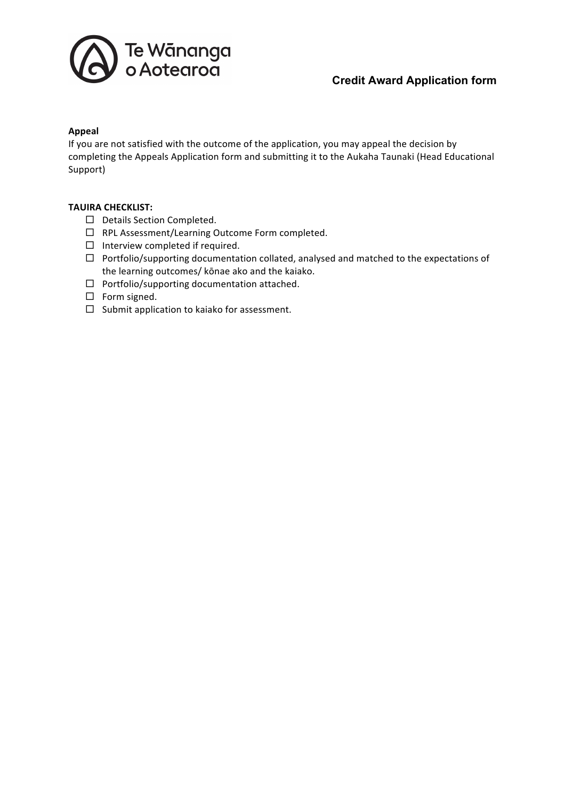

#### **Appeal**

If you are not satisfied with the outcome of the application, you may appeal the decision by completing the Appeals Application form and submitting it to the Aukaha Taunaki (Head Educational Support)

#### **TAUIRA CHECKLIST:**

- $\square$  Details Section Completed.
- $\Box$  RPL Assessment/Learning Outcome Form completed.
- $\Box$  Interview completed if required.
- $\Box$  Portfolio/supporting documentation collated, analysed and matched to the expectations of the learning outcomes/ kōnae ako and the kaiako.
- $\Box$  Portfolio/supporting documentation attached.
- $\square$  Form signed.
- $\square$  Submit application to kaiako for assessment.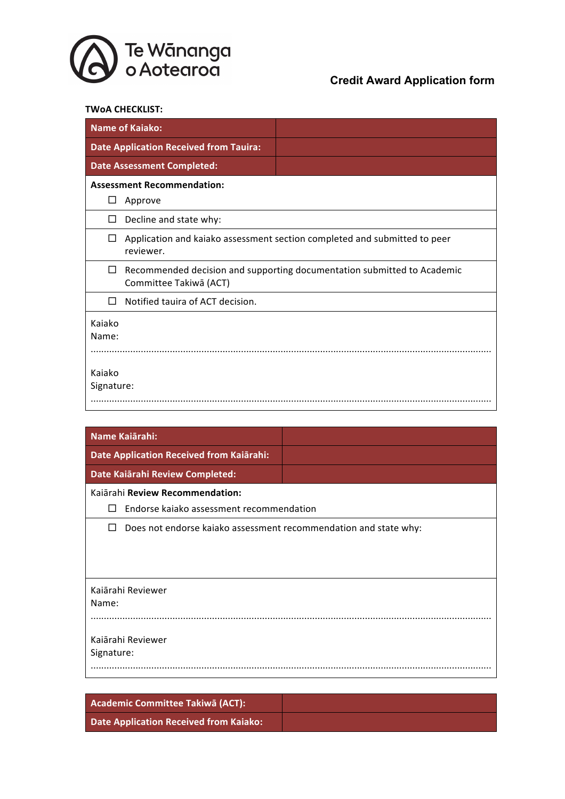

#### **TWoA CHECKLIST:**

| <b>Name of Kaiako:</b>                        |                                                                           |  |  |
|-----------------------------------------------|---------------------------------------------------------------------------|--|--|
| <b>Date Application Received from Tauira:</b> |                                                                           |  |  |
| <b>Date Assessment Completed:</b>             |                                                                           |  |  |
| <b>Assessment Recommendation:</b>             |                                                                           |  |  |
| Approve<br>ப                                  |                                                                           |  |  |
| Decline and state why:<br>□                   |                                                                           |  |  |
| $\Box$<br>reviewer.                           | Application and kaiako assessment section completed and submitted to peer |  |  |
| $\Box$<br>Committee Takiwā (ACT)              | Recommended decision and supporting documentation submitted to Academic   |  |  |
| Notified tauira of ACT decision.<br>П         |                                                                           |  |  |
| Kaiako<br>Name:                               |                                                                           |  |  |
| Kaiako<br>Signature:                          |                                                                           |  |  |

| Name Kaiārahi:                                                                   |  |  |  |
|----------------------------------------------------------------------------------|--|--|--|
| Date Application Received from Kaiārahi:                                         |  |  |  |
| Date Kaiārahi Review Completed:                                                  |  |  |  |
| Kaiārahi Review Recommendation:<br>Endorse kaiako assessment recommendation<br>П |  |  |  |
| Does not endorse kaiako assessment recommendation and state why:<br>П            |  |  |  |
|                                                                                  |  |  |  |
| Kaiārahi Reviewer                                                                |  |  |  |
| Name:                                                                            |  |  |  |
|                                                                                  |  |  |  |
| Kaiārahi Reviewer                                                                |  |  |  |
| Signature:                                                                       |  |  |  |
|                                                                                  |  |  |  |

**Academic Committee Takiwā (ACT): Date Application Received from Kaiako:**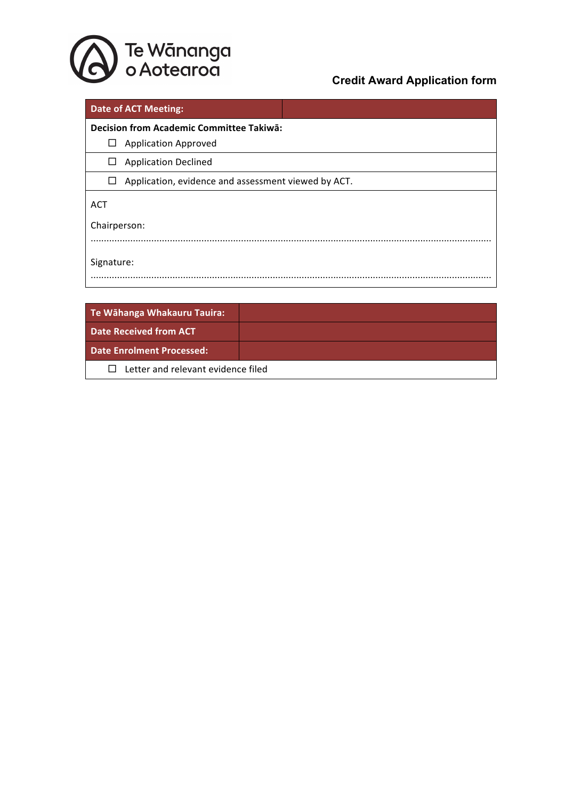

| <b>Date of ACT Meeting:</b>                                   |  |  |  |  |
|---------------------------------------------------------------|--|--|--|--|
| Decision from Academic Committee Takiwa:                      |  |  |  |  |
| <b>Application Approved</b><br>ப                              |  |  |  |  |
| <b>Application Declined</b><br>$\Box$                         |  |  |  |  |
| Application, evidence and assessment viewed by ACT.<br>$\Box$ |  |  |  |  |
| <b>ACT</b>                                                    |  |  |  |  |
| Chairperson:                                                  |  |  |  |  |
|                                                               |  |  |  |  |
| Signature:                                                    |  |  |  |  |
|                                                               |  |  |  |  |
|                                                               |  |  |  |  |

| Te Wāhanga Whakauru Tauira:                        |  |  |  |
|----------------------------------------------------|--|--|--|
| Date Received from ACT                             |  |  |  |
| <b>Date Enrolment Processed:</b>                   |  |  |  |
| Letter and relevant evidence filed<br>$\mathbf{L}$ |  |  |  |